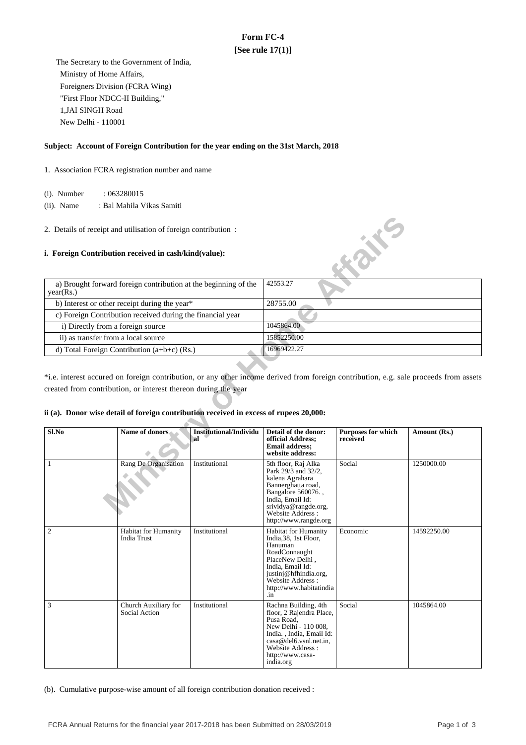# **Form FC-4 [See rule 17(1)]**

 The Secretary to the Government of India, Ministry of Home Affairs, Foreigners Division (FCRA Wing) "First Floor NDCC-II Building," 1,JAI SINGH Road New Delhi - 110001

### **Subject: Account of Foreign Contribution for the year ending on the 31st March, 2018**

1. Association FCRA registration number and name

(i). Number : 063280015

 (ii). Name : Bal Mahila Vikas Samiti

#### **i. Foreign Contribution received in cash/kind(value):**

| a) Brought forward foreign contribution at the beginning of the<br>year(Rs.) | 42553.27    |
|------------------------------------------------------------------------------|-------------|
| b) Interest or other receipt during the year*                                | 28755.00    |
| c) Foreign Contribution received during the financial year                   |             |
| i) Directly from a foreign source                                            | 1045864.00  |
| ii) as transfer from a local source                                          | 15852250.00 |
| d) Total Foreign Contribution $(a+b+c)$ (Rs.)                                | 16969422.27 |

### **ii (a). Donor wise detail of foreign contribution received in excess of rupees 20,000:**

| 2. Details of receipt and utilisation of foreign contribution:                                                                                                                                                                                                                                    |                                                            |                                      |                                                                                                                                                                                                         |                                       |              |  |
|---------------------------------------------------------------------------------------------------------------------------------------------------------------------------------------------------------------------------------------------------------------------------------------------------|------------------------------------------------------------|--------------------------------------|---------------------------------------------------------------------------------------------------------------------------------------------------------------------------------------------------------|---------------------------------------|--------------|--|
| EAVE<br>i. Foreign Contribution received in cash/kind(value):                                                                                                                                                                                                                                     |                                                            |                                      |                                                                                                                                                                                                         |                                       |              |  |
| a) Brought forward foreign contribution at the beginning of the<br>year(Rs.)                                                                                                                                                                                                                      |                                                            |                                      | 42553.27                                                                                                                                                                                                |                                       |              |  |
|                                                                                                                                                                                                                                                                                                   | b) Interest or other receipt during the year*              |                                      | 28755.00                                                                                                                                                                                                |                                       |              |  |
|                                                                                                                                                                                                                                                                                                   | c) Foreign Contribution received during the financial year |                                      |                                                                                                                                                                                                         |                                       |              |  |
| i) Directly from a foreign source                                                                                                                                                                                                                                                                 |                                                            |                                      | 1045864.00                                                                                                                                                                                              |                                       |              |  |
| ii) as transfer from a local source                                                                                                                                                                                                                                                               |                                                            |                                      | 15852250.00                                                                                                                                                                                             |                                       |              |  |
|                                                                                                                                                                                                                                                                                                   | d) Total Foreign Contribution $(a+b+c)$ (Rs.)              |                                      | 16969422.27                                                                                                                                                                                             |                                       |              |  |
|                                                                                                                                                                                                                                                                                                   |                                                            |                                      |                                                                                                                                                                                                         |                                       |              |  |
| *i.e. interest accured on foreign contribution, or any other income derived from foreign contribution, e.g. sale proceeds from assets<br>created from contribution, or interest thereon during the year<br>ii (a). Donor wise detail of foreign contribution received in excess of rupees 20,000: |                                                            |                                      |                                                                                                                                                                                                         |                                       |              |  |
| Sl.No                                                                                                                                                                                                                                                                                             | Name of donors                                             | <b>Institutional/Individu</b><br>`al | Detail of the donor:<br>official Address;<br><b>Email address;</b><br>website address:                                                                                                                  | <b>Purposes for which</b><br>received | Amount (Rs.) |  |
| $\mathbf{1}$                                                                                                                                                                                                                                                                                      | Rang De Organisation                                       | Institutional                        | 5th floor, Raj Alka<br>Park 29/3 and 32/2,<br>kalena Agrahara<br>Bannerghatta road,<br>Bangalore 560076.,<br>India, Email Id:<br>srividya@rangde.org,<br>Website Address :<br>http://www.rangde.org     | Social                                | 1250000.00   |  |
| $\mathfrak{2}$                                                                                                                                                                                                                                                                                    | <b>Habitat for Humanity</b><br><b>India Trust</b>          | Institutional                        | <b>Habitat for Humanity</b><br>India, 38, 1st Floor,<br>Hanuman<br>RoadConnaught<br>PlaceNew Delhi,<br>India, Email Id:<br>justinj@hfhindia.org,<br>Website Address :<br>http://www.habitatindia<br>.in | Economic                              | 14592250.00  |  |
| 3                                                                                                                                                                                                                                                                                                 | Church Auxiliary for<br>Social Action                      | Institutional                        | Rachna Building, 4th<br>floor, 2 Rajendra Place,<br>Pusa Road,<br>New Delhi - 110 008,<br>India., India, Email Id:<br>casa@del6.vsnl.net.in,<br>Website Address:<br>http://www.casa-<br>india.org       | Social                                | 1045864.00   |  |

(b). Cumulative purpose-wise amount of all foreign contribution donation received :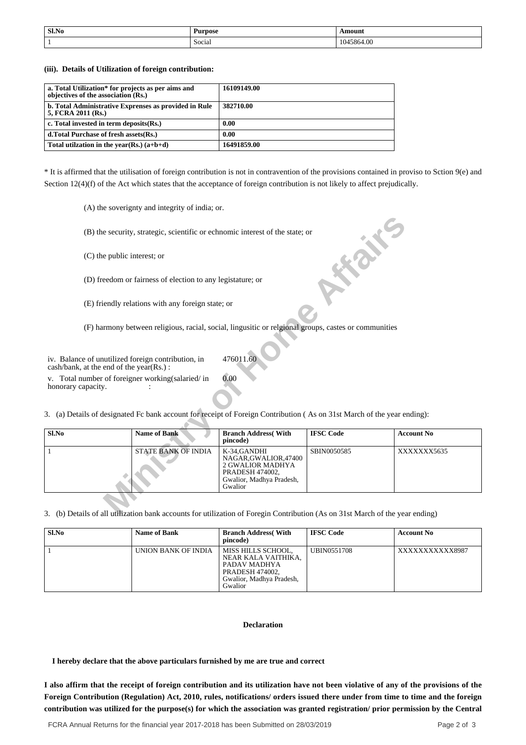| Sl.No | Purpose               | mount   |
|-------|-----------------------|---------|
|       | $\sim$<br>Social<br>. | 5864.00 |

**(iii). Details of Utilization of foreign contribution:**

| a. Total Utilization* for projects as per aims and<br>objectives of the association (Rs.) | 16109149.00 |
|-------------------------------------------------------------------------------------------|-------------|
| b. Total Administrative Exprenses as provided in Rule<br>5, FCRA 2011 (Rs.)               | 382710.00   |
| c. Total invested in term deposits (Rs.)                                                  | 0.00        |
| d. Total Purchase of fresh assets (Rs.)                                                   | 0.00        |
| Total utilization in the year(Rs.) $(a+b+d)$                                              | 16491859.00 |

\* It is affirmed that the utilisation of foreign contribution is not in contravention of the provisions contained in proviso to Sction 9(e) and Section 12(4)(f) of the Act which states that the acceptance of foreign contribution is not likely to affect prejudically.

(A) the soverignty and integrity of india; or.

|                                                                                                                              |                                                                                                      | (B) the security, strategic, scientific or echnomic interest of the state; or                                              |                  |                   |  |
|------------------------------------------------------------------------------------------------------------------------------|------------------------------------------------------------------------------------------------------|----------------------------------------------------------------------------------------------------------------------------|------------------|-------------------|--|
| (C) the public interest; or                                                                                                  |                                                                                                      |                                                                                                                            |                  |                   |  |
| (D) freedom or fairness of election to any legistature; or                                                                   |                                                                                                      |                                                                                                                            |                  |                   |  |
| (E) friendly relations with any foreign state; or                                                                            |                                                                                                      |                                                                                                                            |                  |                   |  |
|                                                                                                                              | (F) harmony between religious, racial, social, lingusitic or relgional groups, castes or communities |                                                                                                                            |                  |                   |  |
| 476011.60<br>iv. Balance of unutilized foreign contribution, in<br>cash/bank, at the end of the year(Rs.):                   |                                                                                                      |                                                                                                                            |                  |                   |  |
| 0.00<br>v. Total number of foreigner working (salaried/in<br>honorary capacity.                                              |                                                                                                      |                                                                                                                            |                  |                   |  |
| 3. (a) Details of designated Fc bank account for receipt of Foreign Contribution (As on 31st March of the year ending):      |                                                                                                      |                                                                                                                            |                  |                   |  |
| Sl.No                                                                                                                        | <b>Name of Bank</b>                                                                                  | <b>Branch Address</b> (With<br>pincode)                                                                                    | <b>IFSC Code</b> | <b>Account No</b> |  |
| 1                                                                                                                            | <b>STATE BANK OF INDIA</b>                                                                           | K-34, GANDHI<br>NAGAR, GWALIOR, 47400<br><b>2 GWALIOR MADHYA</b><br>PRADESH 474002,<br>Gwalior, Madhya Pradesh,<br>Gwalior | SBIN0050585      | XXXXXXX5635       |  |
| 3 (b) Details of all utilization bank accounts for utilization of Foregin Contribution (As on 31st March of the year ending) |                                                                                                      |                                                                                                                            |                  |                   |  |

3. (b) Details of all utilization bank accounts for utilization of Foregin Contribution (As on 31st March of the year ending)

| Sl.No | <b>Name of Bank</b> | <b>Branch Address</b> (With<br>pincode)                                                                                    | <b>IFSC Code</b> | <b>Account No</b> |
|-------|---------------------|----------------------------------------------------------------------------------------------------------------------------|------------------|-------------------|
|       | UNION BANK OF INDIA | MISS HILLS SCHOOL.<br>NEAR KALA VAITHIKA.<br>PADAV MADHYA<br><b>PRADESH 474002,</b><br>Gwalior, Madhya Pradesh,<br>Gwalior | UBIN0551708      | XXXXXXXXXXX8987   |

## **Declaration**

 **I hereby declare that the above particulars furnished by me are true and correct**

**I also affirm that the receipt of foreign contribution and its utilization have not been violative of any of the provisions of the Foreign Contribution (Regulation) Act, 2010, rules, notifications/ orders issued there under from time to time and the foreign contribution was utilized for the purpose(s) for which the association was granted registration/ prior permission by the Central**